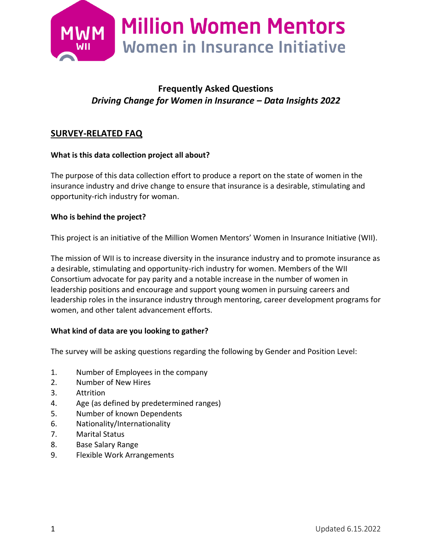

# **Frequently Asked Questions** *Driving Change for Women in Insurance – Data Insights 2022*

## **SURVEY-RELATED FAQ**

### **What is this data collection project all about?**

The purpose of this data collection effort to produce a report on the state of women in the insurance industry and drive change to ensure that insurance is a desirable, stimulating and opportunity-rich industry for woman.

### **Who is behind the project?**

This project is an initiative of the Million Women Mentors' Women in Insurance Initiative (WII).

The mission of WII is to increase diversity in the insurance industry and to promote insurance as a desirable, stimulating and opportunity-rich industry for women. Members of the WII Consortium advocate for pay parity and a notable increase in the number of women in leadership positions and encourage and support young women in pursuing careers and leadership roles in the insurance industry through mentoring, career development programs for women, and other talent advancement efforts.

#### **What kind of data are you looking to gather?**

The survey will be asking questions regarding the following by Gender and Position Level:

- 1. Number of Employees in the company
- 2. Number of New Hires
- 3. Attrition
- 4. Age (as defined by predetermined ranges)
- 5. Number of known Dependents
- 6. Nationality/Internationality
- 7. Marital Status
- 8. Base Salary Range
- 9. Flexible Work Arrangements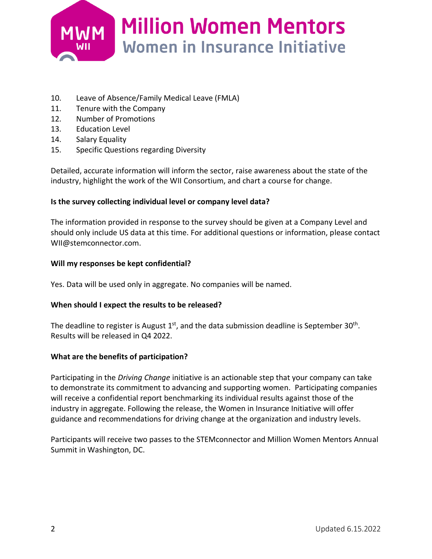

- 10. Leave of Absence/Family Medical Leave (FMLA)
- 11. Tenure with the Company
- 12. Number of Promotions
- 13. Education Level
- 14. Salary Equality
- 15. Specific Questions regarding Diversity

Detailed, accurate information will inform the sector, raise awareness about the state of the industry, highlight the work of the WII Consortium, and chart a course for change.

#### **Is the survey collecting individual level or company level data?**

The information provided in response to the survey should be given at a Company Level and should only include US data at this time. For additional questions or information, please contact [WII@stemconnector.com.](mailto:WII@stemconnector.com)

#### **Will my responses be kept confidential?**

Yes. Data will be used only in aggregate. No companies will be named.

#### **When should I expect the results to be released?**

The deadline to register is August  $1<sup>st</sup>$ , and the data submission deadline is September 30<sup>th</sup>. Results will be released in Q4 2022.

#### **What are the benefits of participation?**

Participating in the *Driving Change* initiative is an actionable step that your company can take to demonstrate its commitment to advancing and supporting women. Participating companies will receive a confidential report benchmarking its individual results against those of the industry in aggregate. Following the release, the Women in Insurance Initiative will offer guidance and recommendations for driving change at the organization and industry levels.

Participants will receive two passes to the STEMconnector and Million Women Mentors Annual Summit in Washington, DC.